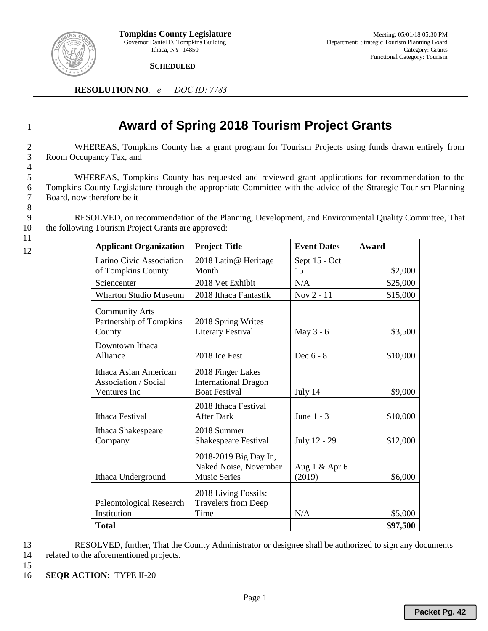

 **SCHEDULED** 

**RESOLUTION NO***. e DOC ID: 7783*

## <sup>1</sup> **Award of Spring 2018 Tourism Project Grants**

2 WHEREAS, Tompkins County has a grant program for Tourism Projects using funds drawn entirely from 3 Room Occupancy Tax, and

5 WHEREAS, Tompkins County has requested and reviewed grant applications for recommendation to the 6 Tompkins County Legislature through the appropriate Committee with the advice of the Strategic Tourism Planning Board, now therefore be it 8

9 RESOLVED, on recommendation of the Planning, Development, and Environmental Quality Committee, That 10 the following Tourism Project Grants are approved:

**Applicant Organization Project Title Event Dates Award** 

11 12

4

| Latino Civic Association                         | 2018 Latin@ Heritage                               | Sept 15 - Oct   |          |
|--------------------------------------------------|----------------------------------------------------|-----------------|----------|
| of Tompkins County                               | Month                                              | 15              | \$2,000  |
| Sciencenter                                      | 2018 Vet Exhibit                                   | N/A             | \$25,000 |
| <b>Wharton Studio Museum</b>                     | 2018 Ithaca Fantastik                              | Nov 2 - 11      | \$15,000 |
| <b>Community Arts</b><br>Partnership of Tompkins | 2018 Spring Writes                                 |                 |          |
| County                                           | <b>Literary Festival</b>                           | May 3 - 6       | \$3,500  |
| Downtown Ithaca                                  |                                                    |                 |          |
| Alliance                                         | 2018 Ice Fest                                      | Dec $6 - 8$     | \$10,000 |
| Ithaca Asian American<br>Association / Social    | 2018 Finger Lakes<br><b>International Dragon</b>   |                 |          |
| Ventures Inc                                     | <b>Boat Festival</b>                               | July 14         | \$9,000  |
| Ithaca Festival                                  | 2018 Ithaca Festival<br><b>After Dark</b>          | June $1 - 3$    | \$10,000 |
| Ithaca Shakespeare<br>Company                    | 2018 Summer<br>Shakespeare Festival                | July 12 - 29    | \$12,000 |
|                                                  | 2018-2019 Big Day In,<br>Naked Noise, November     | Aug $1 &$ Apr 6 |          |
| Ithaca Underground                               | <b>Music Series</b>                                | (2019)          | \$6,000  |
| Paleontological Research                         | 2018 Living Fossils:<br><b>Travelers from Deep</b> |                 |          |
| Institution                                      | Time                                               | N/A             | \$5,000  |
| <b>Total</b>                                     |                                                    |                 | \$97,500 |

13 RESOLVED, further, That the County Administrator or designee shall be authorized to sign any documents 14 related to the aforementioned projects.

- 15
- 16 **SEQR ACTION:** TYPE II-20